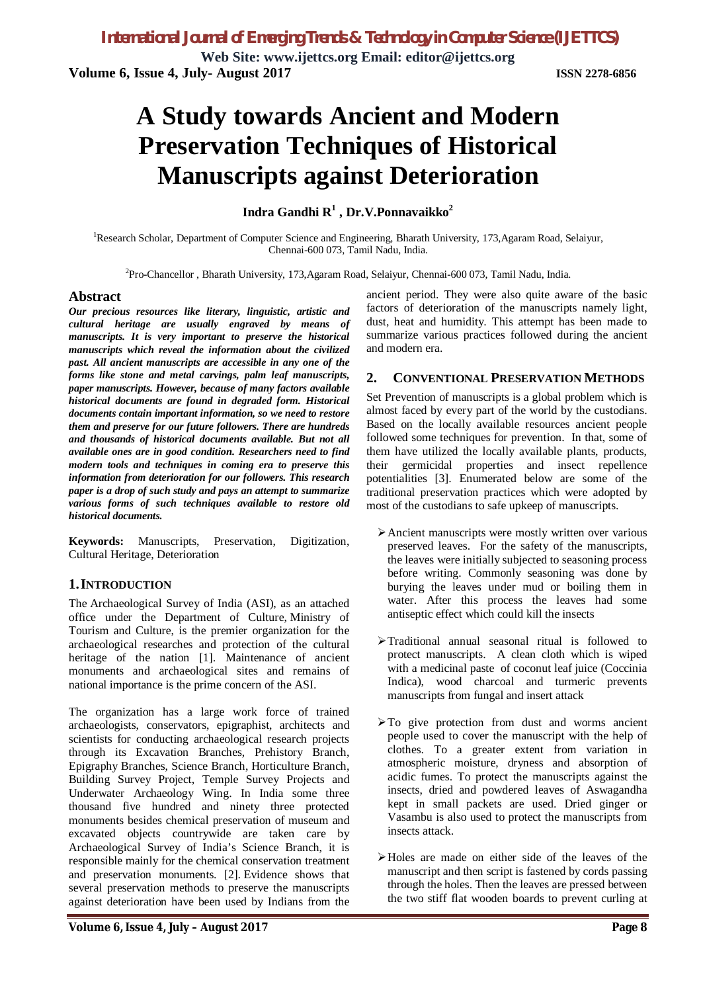**Web Site: www.ijettcs.org Email: editor@ijettcs.org Volume 6, Issue 4, July- August 2017 ISSN 2278-6856**

# **A Study towards Ancient and Modern Preservation Techniques of Historical Manuscripts against Deterioration**

# **Indra Gandhi R<sup>1</sup> , Dr.V.Ponnavaikko<sup>2</sup>**

<sup>1</sup>Research Scholar, Department of Computer Science and Engineering, Bharath University, 173, Agaram Road, Selaiyur, Chennai-600 073, Tamil Nadu, India.

<sup>2</sup>Pro-Chancellor, Bharath University, 173,Agaram Road, Selaiyur, Chennai-600 073, Tamil Nadu, India.

### **Abstract**

*Our precious resources like literary, linguistic, artistic and cultural heritage are usually engraved by means of manuscripts. It is very important to preserve the historical manuscripts which reveal the information about the civilized past. All ancient manuscripts are accessible in any one of the forms like stone and metal carvings, palm leaf manuscripts, paper manuscripts. However, because of many factors available historical documents are found in degraded form. Historical documents contain important information, so we need to restore them and preserve for our future followers. There are hundreds and thousands of historical documents available. But not all available ones are in good condition. Researchers need to find modern tools and techniques in coming era to preserve this information from deterioration for our followers. This research paper is a drop of such study and pays an attempt to summarize various forms of such techniques available to restore old historical documents.*

**Keywords:** Manuscripts, Preservation, Digitization, Cultural Heritage, Deterioration

### **1.INTRODUCTION**

The Archaeological Survey of India (ASI), as an attached office under the Department of Culture, Ministry of Tourism and Culture, is the premier organization for the archaeological researches and protection of the cultural heritage of the nation [1]. Maintenance of ancient monuments and archaeological sites and remains of national importance is the prime concern of the ASI.

The organization has a large work force of trained archaeologists, conservators, epigraphist, architects and scientists for conducting archaeological research projects through its Excavation Branches, Prehistory Branch, Epigraphy Branches, Science Branch, Horticulture Branch, Building Survey Project, Temple Survey Projects and Underwater Archaeology Wing. In India some three thousand five hundred and ninety three protected monuments besides chemical preservation of museum and excavated objects countrywide are taken care by Archaeological Survey of India's Science Branch, it is responsible mainly for the chemical conservation treatment and preservation monuments. [2]. Evidence shows that several preservation methods to preserve the manuscripts against deterioration have been used by Indians from the

ancient period. They were also quite aware of the basic factors of deterioration of the manuscripts namely light, dust, heat and humidity. This attempt has been made to summarize various practices followed during the ancient and modern era.

### **2. CONVENTIONAL PRESERVATION METHODS**

Set Prevention of manuscripts is a global problem which is almost faced by every part of the world by the custodians. Based on the locally available resources ancient people followed some techniques for prevention. In that, some of them have utilized the locally available plants, products, their germicidal properties and insect repellence potentialities [3]. Enumerated below are some of the traditional preservation practices which were adopted by most of the custodians to safe upkeep of manuscripts.

- Ancient manuscripts were mostly written over various preserved leaves. For the safety of the manuscripts, the leaves were initially subjected to seasoning process before writing. Commonly seasoning was done by burying the leaves under mud or boiling them in water. After this process the leaves had some antiseptic effect which could kill the insects
- Traditional annual seasonal ritual is followed to protect manuscripts. A clean cloth which is wiped with a medicinal paste of coconut leaf juice (Coccinia Indica), wood charcoal and turmeric prevents manuscripts from fungal and insert attack
- $\triangleright$  To give protection from dust and worms ancient people used to cover the manuscript with the help of clothes. To a greater extent from variation in atmospheric moisture, dryness and absorption of acidic fumes. To protect the manuscripts against the insects, dried and powdered leaves of Aswagandha kept in small packets are used. Dried ginger or Vasambu is also used to protect the manuscripts from insects attack.
- Holes are made on either side of the leaves of the manuscript and then script is fastened by cords passing through the holes. Then the leaves are pressed between the two stiff flat wooden boards to prevent curling at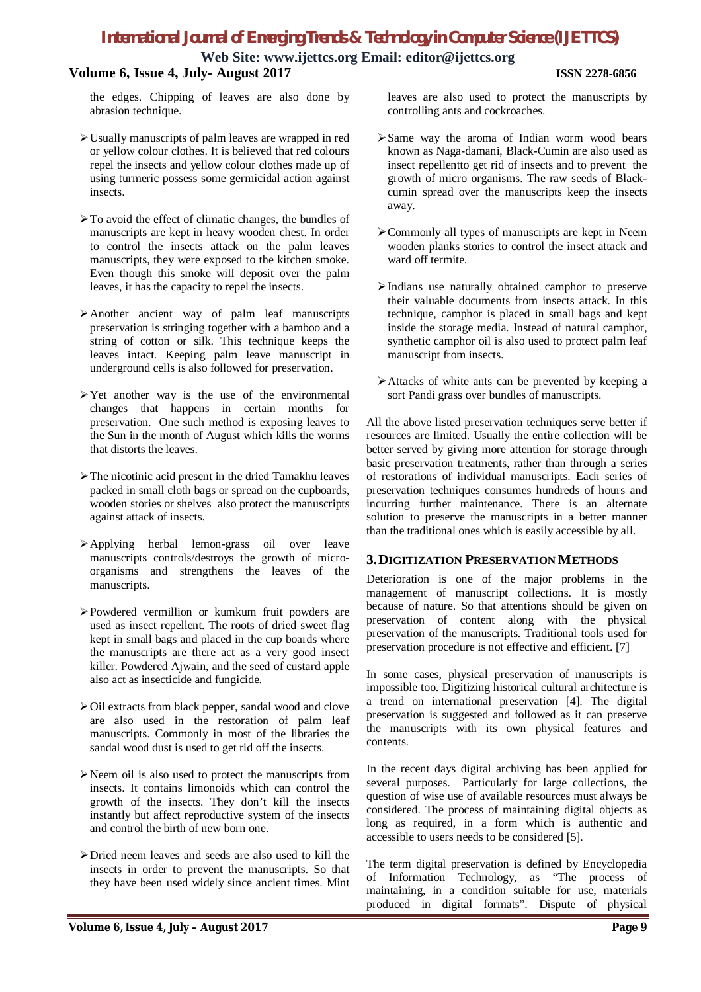# *International Journal of Emerging Trends & Technology in Computer Science (IJETTCS)*

**Web Site: www.ijettcs.org Email: editor@ijettcs.org**

# **Volume 6, Issue 4, July- August 2017 ISSN 2278-6856**

the edges. Chipping of leaves are also done by abrasion technique.

- Usually manuscripts of palm leaves are wrapped in red or yellow colour clothes. It is believed that red colours repel the insects and yellow colour clothes made up of using turmeric possess some germicidal action against insects.
- $\triangleright$  To avoid the effect of climatic changes, the bundles of manuscripts are kept in heavy wooden chest. In order to control the insects attack on the palm leaves manuscripts, they were exposed to the kitchen smoke. Even though this smoke will deposit over the palm leaves, it has the capacity to repel the insects.
- Another ancient way of palm leaf manuscripts preservation is stringing together with a bamboo and a string of cotton or silk. This technique keeps the leaves intact. Keeping palm leave manuscript in underground cells is also followed for preservation.
- $\triangleright$  Yet another way is the use of the environmental changes that happens in certain months for preservation. One such method is exposing leaves to the Sun in the month of August which kills the worms that distorts the leaves.
- $\triangleright$  The nicotinic acid present in the dried Tamakhu leaves packed in small cloth bags or spread on the cupboards, wooden stories or shelves also protect the manuscripts against attack of insects.
- Applying herbal lemon-grass oil over leave manuscripts controls/destroys the growth of microorganisms and strengthens the leaves of the manuscripts.
- Powdered vermillion or kumkum fruit powders are used as insect repellent. The roots of dried sweet flag kept in small bags and placed in the cup boards where the manuscripts are there act as a very good insect killer. Powdered Ajwain, and the seed of custard apple also act as insecticide and fungicide.
- Oil extracts from black pepper, sandal wood and clove are also used in the restoration of palm leaf manuscripts. Commonly in most of the libraries the sandal wood dust is used to get rid off the insects.
- Neem oil is also used to protect the manuscripts from insects. It contains limonoids which can control the growth of the insects. They don't kill the insects instantly but affect reproductive system of the insects and control the birth of new born one.
- Dried neem leaves and seeds are also used to kill the insects in order to prevent the manuscripts. So that they have been used widely since ancient times. Mint

leaves are also used to protect the manuscripts by controlling ants and cockroaches.

- $\triangleright$  Same way the aroma of Indian worm wood bears known as Naga-damani, Black-Cumin are also used as insect repellentto get rid of insects and to prevent the growth of micro organisms. The raw seeds of Blackcumin spread over the manuscripts keep the insects away.
- Commonly all types of manuscripts are kept in Neem wooden planks stories to control the insect attack and ward off termite.
- $\triangleright$  Indians use naturally obtained camphor to preserve their valuable documents from insects attack. In this technique, camphor is placed in small bags and kept inside the storage media. Instead of natural camphor, synthetic camphor oil is also used to protect palm leaf manuscript from insects.
- Attacks of white ants can be prevented by keeping a sort Pandi grass over bundles of manuscripts.

All the above listed preservation techniques serve better if resources are limited. Usually the entire collection will be better served by giving more attention for storage through basic preservation treatments, rather than through a series of restorations of individual manuscripts. Each series of preservation techniques consumes hundreds of hours and incurring further maintenance. There is an alternate solution to preserve the manuscripts in a better manner than the traditional ones which is easily accessible by all.

### **3.DIGITIZATION PRESERVATION METHODS**

Deterioration is one of the major problems in the management of manuscript collections. It is mostly because of nature. So that attentions should be given on preservation of content along with the physical preservation of the manuscripts. Traditional tools used for preservation procedure is not effective and efficient. [7]

In some cases, physical preservation of manuscripts is impossible too. Digitizing historical cultural architecture is a trend on international preservation [4]. The digital preservation is suggested and followed as it can preserve the manuscripts with its own physical features and contents.

In the recent days digital archiving has been applied for several purposes. Particularly for large collections, the question of wise use of available resources must always be considered. The process of maintaining digital objects as long as required, in a form which is authentic and accessible to users needs to be considered [5].

The term digital preservation is defined by Encyclopedia of Information Technology, as "The process of maintaining, in a condition suitable for use, materials produced in digital formats". Dispute of physical